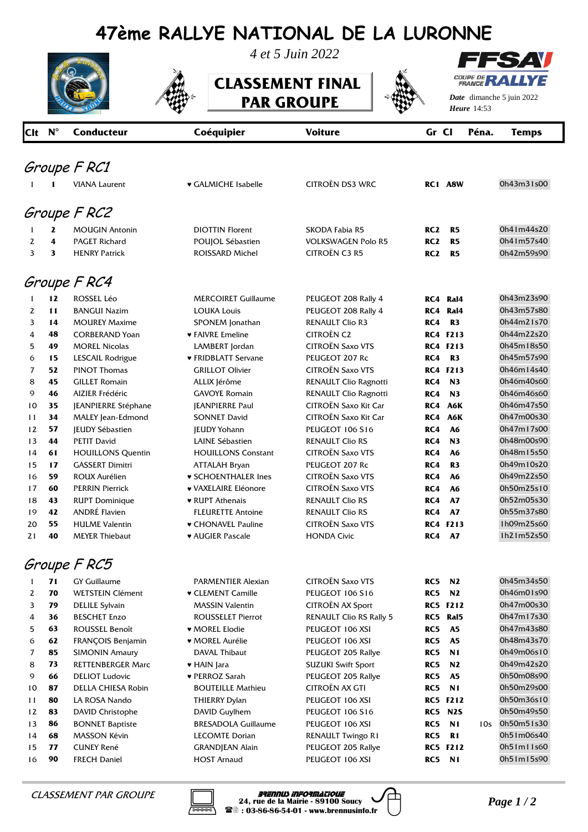## **47ème RALLYE NATIONAL DE LA LURONNE**



*4 et 5 Juin 2022*

**CLASSEMENT FINAL PAR GROUPE** 



ES AV **COUPE DE REAL** COUPE DE YE

*Date* dimanche 5 juin 2022 *Heure* 14:53

|              | Clt N <sup>°</sup> | <b>Conducteur</b>        | Coéquipier                 | <b>Voiture</b>                 | Gr Cl           |                 | Péna.           | <b>Temps</b> |  |
|--------------|--------------------|--------------------------|----------------------------|--------------------------------|-----------------|-----------------|-----------------|--------------|--|
|              |                    | Groupe F RC1             |                            |                                |                 |                 |                 |              |  |
|              |                    | <b>VIANA Laurent</b>     | ♥ GALMICHE Isabelle        | <b>CITROËN DS3 WRC</b>         |                 | RC1 A8W         |                 | 0h43m31s00   |  |
|              |                    |                          |                            |                                |                 |                 |                 |              |  |
|              |                    | Groupe F RC2             |                            |                                |                 |                 |                 |              |  |
| 1            | $\mathbf{z}$       | <b>MOUGIN Antonin</b>    | <b>DIOTTIN Florent</b>     | <b>SKODA Fabia R5</b>          | RC <sub>2</sub> | R <sub>5</sub>  |                 | 0h41m44s20   |  |
| 2            | 4                  | <b>PAGET Richard</b>     | POUJOL Sébastien           | <b>VOLKSWAGEN Polo R5</b>      | RC <sub>2</sub> | R <sub>5</sub>  |                 | 0h41m57s40   |  |
| 3            | 3                  | <b>HENRY Patrick</b>     | <b>ROISSARD Michel</b>     | <b>CITROËN C3 R5</b>           | RC <sub>2</sub> | R <sub>5</sub>  |                 | 0h42m59s90   |  |
| Groupe F RC4 |                    |                          |                            |                                |                 |                 |                 |              |  |
|              | 12                 | <b>ROSSEL Léo</b>        | <b>MERCOIRET Guillaume</b> | PEUGEOT 208 Rally 4            | RC4             | Ral4            |                 | 0h43m23s90   |  |
| 2            | 11                 | <b>BANGUI Nazim</b>      | <b>LOUKA Louis</b>         | PEUGEOT 208 Rally 4            | RC4             | Ral4            |                 | 0h43m57s80   |  |
| 3            | 14                 | <b>MOUREY Maxime</b>     | SPONEM Jonathan            | <b>RENAULT Clio R3</b>         | RC4             | R <sub>3</sub>  |                 | 0h44m21s70   |  |
| 4            | 48                 | <b>CORBERAND Yoan</b>    | <b>• FAIVRE Emeline</b>    | <b>CITROËN C2</b>              |                 | <b>RC4 F213</b> |                 | 0h44m22s20   |  |
| 5            | 49                 | <b>MOREL Nicolas</b>     | LAMBERT Jordan             | CITROËN Saxo VTS               |                 | <b>RC4 F213</b> |                 | 0h45m18s50   |  |
| 6            | 15                 | LESCAIL Rodrigue         | ♥ FRIDBLATT Servane        | PEUGEOT 207 Rc                 | RC4             | R <sub>3</sub>  |                 | 0h45m57s90   |  |
| 7            | 52                 | <b>PINOT Thomas</b>      | <b>GRILLOT Olivier</b>     | <b>CITROËN Saxo VTS</b>        |                 | <b>RC4 F213</b> |                 | 0h46m14s40   |  |
| 8            | 45                 | <b>GILLET Romain</b>     | ALLIX Jérôme               | RENAULT Clio Ragnotti          | RC4             | N <sub>3</sub>  |                 | 0h46m40s60   |  |
| 9            | 46                 | AIZIER Frédéric          | <b>GAVOYE Romain</b>       | RENAULT Clio Ragnotti          | RC4             | N <sub>3</sub>  |                 | 0h46m46s60   |  |
| 10           | 35                 | JEANPIERRE Stéphane      | <b>JEANPIERRE Paul</b>     | CITROËN Saxo Kit Car           | RC4             | A6K             |                 | 0h46m47s50   |  |
| 11           | 34                 | MALEY Jean-Edmond        | <b>SONNET David</b>        | CITROËN Saxo Kit Car           | RC4             | A6K             |                 | 0h47m00s30   |  |
| 12           | 57                 | <b>IEUDY Sébastien</b>   | <b>JEUDY Yohann</b>        | <b>PEUGEOT 106 S16</b>         | RC4             | A6              |                 | 0h47m17s00   |  |
| 13           | 44                 | <b>PETIT David</b>       | LAINE Sébastien            | <b>RENAULT Clio RS</b>         | RC4             | N <sub>3</sub>  |                 | 0h48m00s90   |  |
| 14           | 61                 | <b>HOUILLONS Quentin</b> | <b>HOUILLONS Constant</b>  | <b>CITROËN Saxo VTS</b>        | RC4             | A6              |                 | 0h48m15s50   |  |
| 15           | 17                 | <b>GASSERT Dimitri</b>   | <b>ATTALAH Bryan</b>       | PEUGEOT 207 Rc                 | RC4             | R <sub>3</sub>  |                 | 0h49m10s20   |  |
| 16           | 59                 | <b>ROUX Aurélien</b>     | <b>v SCHOENTHALER Ines</b> | <b>CITROËN Saxo VTS</b>        | RC4             | A6              |                 | 0h49m22s50   |  |
| 17           | 60                 | <b>PERRIN Pierrick</b>   | ♥ VAXELAIRE Eléonore       | CITROËN Saxo VTS               | RC4             | A6              |                 | 0h50m25s10   |  |
| 18           | 43                 | <b>RUPT Dominique</b>    | ♥ RUPT Athenais            | <b>RENAULT Clio RS</b>         | RC4             | A7              |                 | 0h52m05s30   |  |
| 19           | 42                 | <b>ANDRÉ Flavien</b>     | <b>FLEURETTE Antoine</b>   | <b>RENAULT Clio RS</b>         | RC4             | <b>A7</b>       |                 | 0h55m37s80   |  |
| 20           | 55                 | <b>HULME Valentin</b>    | ♥ CHONAVEL Pauline         | <b>CITROËN Saxo VTS</b>        |                 | <b>RC4 F213</b> |                 | 1h09m25s60   |  |
| 21           | 40                 | <b>MEYER Thiebaut</b>    | <b>* AUGIER Pascale</b>    | <b>HONDA Civic</b>             | RC4             | A7              |                 | 1h21m52s50   |  |
|              |                    | Groupe F RC5             |                            |                                |                 |                 |                 |              |  |
| 1            | 71                 | <b>GY Guillaume</b>      | PARMENTIER Alexian         | <b>CITROËN Saxo VTS</b>        | RC5             | N <sub>2</sub>  |                 | 0h45m34s50   |  |
| 2            | 70                 | <b>WETSTEIN Clément</b>  | ♥ CLEMENT Camille          | <b>PEUGEOT 106 S16</b>         | RC5             | N2              |                 | 0h46m01s90   |  |
| 3            | 79                 | <b>DELILE Sylvain</b>    | <b>MASSIN Valentin</b>     | CITROËN AX Sport               |                 | <b>RC5 F212</b> |                 | 0h47m00s30   |  |
| 4            | 36                 | <b>BESCHET Enzo</b>      | ROUSSELET Pierrot          | <b>RENAULT Clio RS Rally 5</b> |                 | RC5 Ral5        |                 | 0h47m17s30   |  |
| 5            | 63                 | ROUSSEL Benoît           | ♥ MOREL Elodie             | PEUGEOT 106 XSI                | RC5             | A5              |                 | 0h47m43s80   |  |
| 6            | 62                 | FRANÇOIS Benjamin        | ♥ MOREL Aurélie            | PEUGEOT 106 XSI                | RC5             | A5              |                 | 0h48m43s70   |  |
| 7            | 85                 | <b>SIMONIN Amaury</b>    | DAVAL Thibaut              | PEUGEOT 205 Rallye             | RC5             | N <sub>1</sub>  |                 | 0h49m06s10   |  |
| 8            | 73                 | RETTENBERGER Marc        | • HAIN Jara                | <b>SUZUKI Swift Sport</b>      | RC5             | N2              |                 | 0h49m42s20   |  |
| 9            | 66                 | <b>DELIOT Ludovic</b>    | ♥ PERROZ Sarah             | PEUGEOT 205 Rallye             | RC5             | <b>A5</b>       |                 | 0h50m08s90   |  |
| 10           | 87                 | DELLA CHIESA Robin       | <b>BOUTEILLE Mathieu</b>   | <b>CITROËN AX GTI</b>          | RC5             | N <sub>1</sub>  |                 | 0h50m29s00   |  |
| 11           | 80                 | LA ROSA Nando            | THIERRY Dylan              | PEUGEOT 106 XSI                |                 | <b>RC5 F212</b> |                 | 0h50m36s10   |  |
| 12           | 83                 | DAVID Christophe         | DAVID Guylhem              | PEUGEOT 106 S16                |                 | <b>RC5 N2S</b>  |                 | 0h50m49s50   |  |
| 13           | 86                 | <b>BONNET Baptiste</b>   | <b>BRESADOLA Guillaume</b> | PEUGEOT 106 XSI                | RC5             | N <sub>1</sub>  | 10 <sub>s</sub> | 0h50m51s30   |  |
| 14           | 68                 | MASSON Kévin             | <b>LECOMTE Dorian</b>      | RENAULT Twingo R1              | RC5             | R <sub>1</sub>  |                 | 0h51m06s40   |  |
| 15           | 77                 | <b>CUNEY René</b>        | <b>GRANDJEAN Alain</b>     | PEUGEOT 205 Rallye             |                 | <b>RC5 F212</b> |                 | 0h51m11s60   |  |
| 16           | 90                 | <b>FRECH Daniel</b>      | <b>HOST Arnaud</b>         | PEUGEOT 106 XSI                |                 | <b>RC5 N1</b>   |                 | 0h51m15s90   |  |